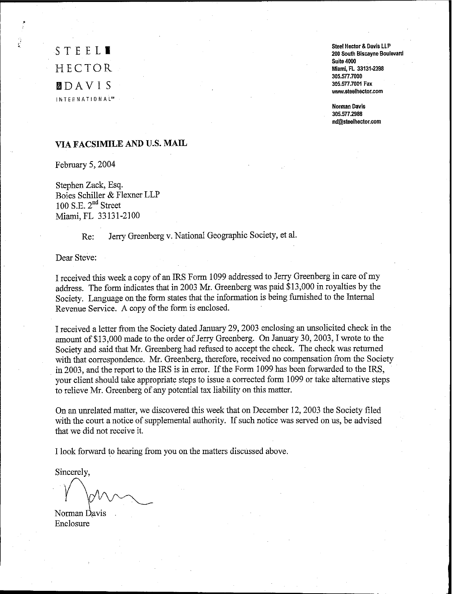**STEEL'** HECTOR mDA V I S **INTERNATIONALW** Steel Hector & Davis LLP **200 South Biscayne Boulevard Suite 4000** Miami, Fl 33131·2398 305.577.7000 305.577.7001 Fax **www.steelhector.com**

**Norman Davis** 305.5772988 nd@steolhoclor.com

# **VIAFACSIMILE AND U.S. MAIL**

February 5, 2004

Stephen Zack, Esq. Boies Schiller & Flexner LLP 100 S.E.  $2<sup>nd</sup>$  Street Miami, FL 33131-2100

Re: Jerry Greenberg v. National Geographic Society, et al.

Dear Steve:

I received this week a copy of an IRS Form 1099 addressed to Jerry Greenberg in care ofmy address. The form indicates that in 2003 Mr. Greenberg was paid \$13,000 in royalties by the Society. Language on the form states that the information is being furnished to the Internal Revenue Service. A copy of the form is enclosed.

I received a letter from the Society dated January 29,2003 enclosing an unsolicited check in the amount of \$13,000 made to the order of Jerry Greenberg. On January 30, 2003, I wrote to the Society and said that Mr. Greenberg had refused to accept the check. The check was returned with that correspondence. Mr. Greenberg, therefore, received no compensation from the Society in 2003, and the report to the IRS is in error. If the Form 1099 has been forwarded to the IRS, your client should take appropriate steps to issue a corrected form 1099 or take alternative steps to relieve Mr. Greenberg of any potential tax liability on this matter.

On an unrelated matter, we discovered this week that on December 12,2003 the Society filed with the court a notice of supplemental authority. If such notice was served on us, be advised that we did not receive it.

I look forward to hearing from you on the matters discussed above.

Sincerely,

 $\sim$ 

Norman Javis . Enclosure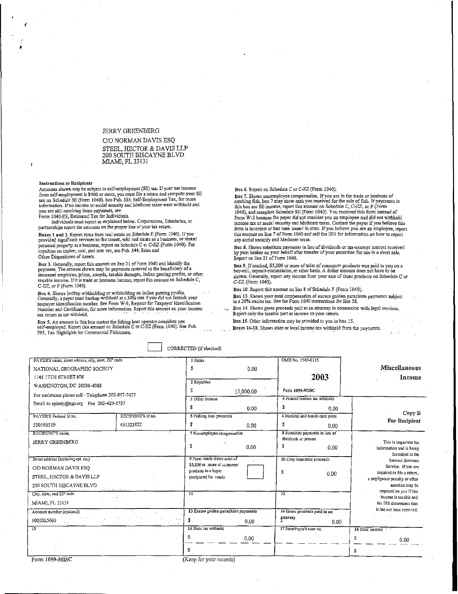### JERRY GREENBERG

C/O NORMAN DAVIS ESQ STEEL, HECTOR & DAVIS LLP 200 SOUTH BISCAYNE BLVD MIAMI, FL33131

#### Instructions to Recipients

1

Amounts shown may be subject to self-employment (SE) tax. If your net income from self-employment is \$400 or more, you must file a return and compute your SE tax on Schedule SE (Form 1040). See Pub. 533, Self-Employment Tax, for mare information. If no income or social security and Medicare taxes were withheld and you are still receivmg these payments, see Form 1040-E8, Estimated TaxforIndividuals.

Individuals must report as explained below. Corporations, fiduciaries, or partnerships report the amounts on the proper line of your tax rerum.

Boxes 1 and 2. Report rents from real estate on ScheduleE (Form 1040). If you provided significant services to the tenant, sold real estate as a business, or rented<br>personal property as a business, report on Schedule C or C-EZ (Form 1040). For royalties on timber, ooal,and iron are, see Pub. 544, Sales and Other Dispositions of Assets.

Box 3. Generally, report this amount on line 21 of Form 1040 and identify the payment. The amount shown may be payments received as the beneficiary of a deceased employee, prizes, awards, taxable damages, Indian gaming profits, or other taxable income. Ifit is trade or business income, report this amount on Schedule C, C-EZ, or F (Form 1040).

Box 4. Shows backup withholding or withholding on Indian gaming profits.<br>Generally, a payer must backup withhold at a 30% rate if yon did not furnish your<br>taxpayer identification number. See Form W-9, Request for Taxpayer Number and Certification, for more infonnation. Report this amount on your income tax return as tax withheld.

Box 5. An amount in this box means the fishing boa!operator considers you self-employed. Report this amount on Schedule C or C-EZ (Fonn 1040). See Pub. 595, Tax Highlights for Commercial Fishermen.

## BoX6. Report on Schedule C orC·EZ (Form 1040).

Box 7. Shows nonemployee compensation. If you are in the trade or business of<br>catching fish, box 7 may show cash you received for the sale of fish. If payments in<br>this box are SE income, report this amount on Schedule C, C 1040), and complete Schedule BE (Fonn 1040). You received this form instead of Porm W·2 because the payer did not consider you an employee and did not withhold income tax or social security and Medicare taxes. Contact the payer if you believe this form is incorrect or has been issued in error. Ifyou believe you are an employee, report this amount on line 7 ofFonn 1040 and call the IRS for information on howto report any social security and Medicare taxes.

Box 8. Shows substitute payments in lieu of dividends or tax-exempt interest received by your broker on your behalf after transfer of your securities for use in a shortsale. Report on line 21 ofFonn 1040.

Box 9. Ifmarked, \$5,000 or more of sales of consumer products was paid to you on a huy-sell, deposit-commission, or other basis. A dollar amount does not have to be shown. Generally, report arty income fromyour sale of these products on Schedule C or C-EZ (Fonn 1040).

Box 10. Report this amount on line 8 of Schedule F (Form 1040).

Box 13. Shows your total compensation of excess golden parachute payments subject to a 20% excise tax. See the Fonn 1040 instructions for line 58.

Box 14. Shows gross proceeds paid to an attorney in connection with legal services. Report only the taxable part as income on your return.

Box 15. Other information maybe provided to you in box 15. Boxes 16-18. Shows state or local income tax withheld from the payments.

CORRECTED (if checked)

| PAYER'S name, street address, city, state, ZIP code |                     | 1 Rents                                            |      | OMB No. 1545-0115                |      |                                                             |  |
|-----------------------------------------------------|---------------------|----------------------------------------------------|------|----------------------------------|------|-------------------------------------------------------------|--|
| NATIONAL GEOGRAPHIC SOCIETY                         |                     |                                                    | 0.00 |                                  |      | <b>Miscellaneous</b>                                        |  |
| 1145 17TH STREET NW                                 |                     |                                                    |      | 2003                             |      | Income                                                      |  |
| WASHINGTON, DC 20036-4088                           |                     | 2 Royalties                                        |      |                                  |      |                                                             |  |
| For assistance please call - Telephone 202-857-7427 |                     | 13,000.00                                          |      | Form 1099-MISC                   |      |                                                             |  |
| Email to aphelp@ngs.org Fax 202-429-5737            |                     | 3 Other income                                     |      | 4 Federal income tax withheld    |      |                                                             |  |
|                                                     |                     | \$                                                 | 0.00 | \$                               | 0.00 |                                                             |  |
| PAYER'S Federal id no.                              | RECIPIENT'S id no.  | 5 Fishing boat proceeds                            |      | 6 Medical and health care prits  |      | Copy B                                                      |  |
| 530193519                                           | 431523822           | \$                                                 | 0.00 | \$                               | 0.00 | For Recipient                                               |  |
| RECIPIENT'S name,<br><b>JERRY GREENBERG</b>         |                     | 7 Nonemployee compensation                         |      | 8 Substitute payments in lieu of |      |                                                             |  |
|                                                     |                     | s                                                  |      | dividends or interest            |      | This is important tax                                       |  |
|                                                     |                     |                                                    | 0.00 |                                  | 0.00 | information and is being<br>furnished to the                |  |
| Street address (including apt. no.)                 |                     | 9 Payer made direct sales of                       |      | 10 Crop insurance proceeds       |      | Internal Revenue                                            |  |
| C/O NORMAN DAVIS ESO                                |                     | \$5,000 or more of cansumer<br>products to a buyer |      |                                  |      | Service. If you are                                         |  |
| STEEL, HECTOR & DAVIS LLP                           |                     | (recipient) for resale                             |      | \$.<br>0.00                      |      | required to file a return.<br>a negligence penalty or other |  |
| 200 SOUTH BISCAYNE BLVD<br>ante caracterista        |                     |                                                    |      |                                  |      | sanction may be                                             |  |
| City, state, and ZIP code                           |                     | ้า                                                 |      | 12                               |      | imposed on you if this<br>income is taxable and             |  |
| MIAMI, FL 33131                                     |                     |                                                    |      |                                  |      | the IRS determines that                                     |  |
| Account number (optional)                           |                     | 13 Excess golden parachute payments                |      | 14 Gross proceeds paid to an     |      | it has not been reported.                                   |  |
| 1000025663                                          | $\alpha$ 1 $\alpha$ | \$                                                 | 0.00 | attorney                         | 0.00 |                                                             |  |
| $\overline{\bf 15}$                                 |                     | 16 State tax withheld                              |      | 17 State/Payer's state no.       |      | 18 State income                                             |  |
|                                                     |                     | S                                                  | 0.00 |                                  |      | S<br>0.00                                                   |  |
|                                                     |                     |                                                    |      |                                  |      |                                                             |  |

Form 1099-MISC

 $($ Keep for your records $)$